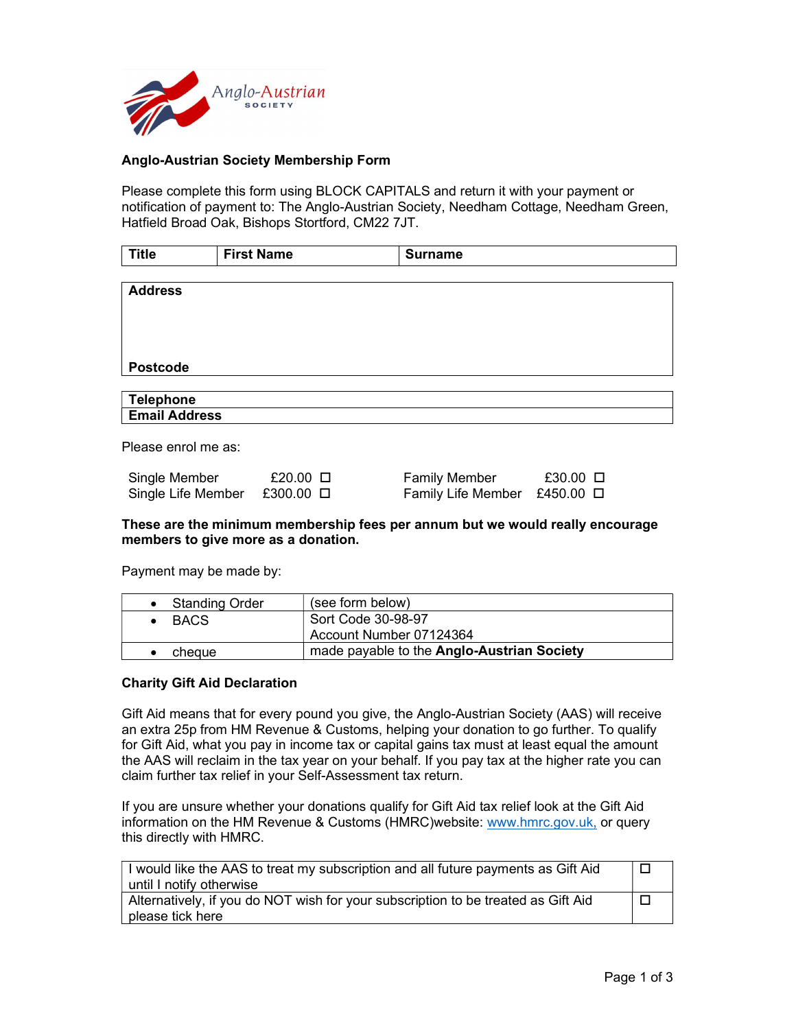

## Anglo-Austrian Society Membership Form

Please complete this form using BLOCK CAPITALS and return it with your payment or notification of payment to: The Anglo-Austrian Society, Needham Cottage, Needham Green, Hatfield Broad Oak, Bishops Stortford, CM22 7JT.

| <b>Title</b>         | <b>First Name</b> | <b>Surname</b> |
|----------------------|-------------------|----------------|
|                      |                   |                |
| <b>Address</b>       |                   |                |
|                      |                   |                |
|                      |                   |                |
|                      |                   |                |
| <b>Postcode</b>      |                   |                |
|                      |                   |                |
| <b>Telephone</b>     |                   |                |
| <b>Email Address</b> |                   |                |
|                      |                   |                |
| Please enrol me as:  |                   |                |

| Single<br>: Member      | £20.00       | / Member<br>∙amılv         | £30.00 |
|-------------------------|--------------|----------------------------|--------|
| Single<br>. Life Member | £300<br>0.00 | Familv<br>_ite<br>. Member | £450   |

#### These are the minimum membership fees per annum but we would really encourage members to give more as a donation.

Payment may be made by:

| <b>Standing Order</b> | (see form below)                           |  |
|-----------------------|--------------------------------------------|--|
| <b>BACS</b>           | Sort Code 30-98-97                         |  |
|                       | Account Number 07124364                    |  |
| cheaue                | made payable to the Anglo-Austrian Society |  |

#### Charity Gift Aid Declaration

Gift Aid means that for every pound you give, the Anglo-Austrian Society (AAS) will receive an extra 25p from HM Revenue & Customs, helping your donation to go further. To qualify for Gift Aid, what you pay in income tax or capital gains tax must at least equal the amount the AAS will reclaim in the tax year on your behalf. If you pay tax at the higher rate you can claim further tax relief in your Self-Assessment tax return.

If you are unsure whether your donations qualify for Gift Aid tax relief look at the Gift Aid information on the HM Revenue & Customs (HMRC)website: www.hmrc.gov.uk, or query this directly with HMRC.

| I would like the AAS to treat my subscription and all future payments as Gift Aid |  |
|-----------------------------------------------------------------------------------|--|
| until I notify otherwise                                                          |  |
| Alternatively, if you do NOT wish for your subscription to be treated as Gift Aid |  |
| please tick here                                                                  |  |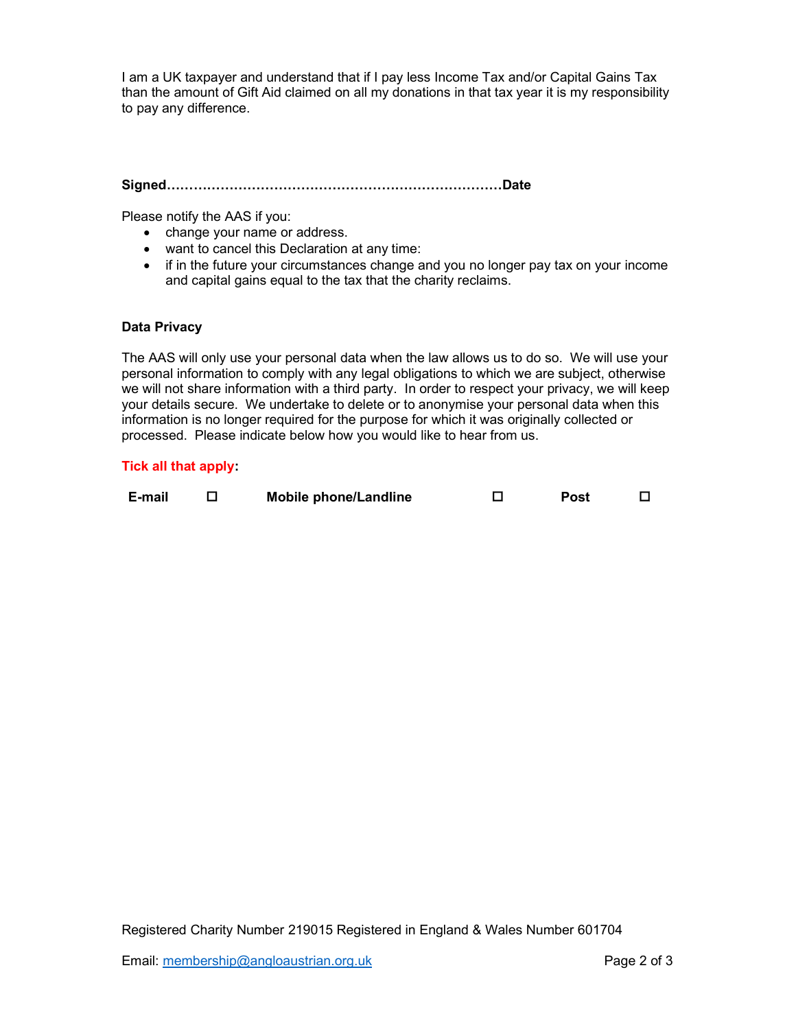I am a UK taxpayer and understand that if I pay less Income Tax and/or Capital Gains Tax than the amount of Gift Aid claimed on all my donations in that tax year it is my responsibility to pay any difference.

Signed…………………………………………………………………Date

Please notify the AAS if you:

- change your name or address.
- want to cancel this Declaration at any time:
- if in the future your circumstances change and you no longer pay tax on your income and capital gains equal to the tax that the charity reclaims.

## Data Privacy

The AAS will only use your personal data when the law allows us to do so. We will use your personal information to comply with any legal obligations to which we are subject, otherwise we will not share information with a third party. In order to respect your privacy, we will keep your details secure. We undertake to delete or to anonymise your personal data when this information is no longer required for the purpose for which it was originally collected or processed. Please indicate below how you would like to hear from us.

## Tick all that apply:

| E-mail |  | <b>Mobile phone/Landline</b> |  | Post |  |
|--------|--|------------------------------|--|------|--|
|--------|--|------------------------------|--|------|--|

Registered Charity Number 219015 Registered in England & Wales Number 601704